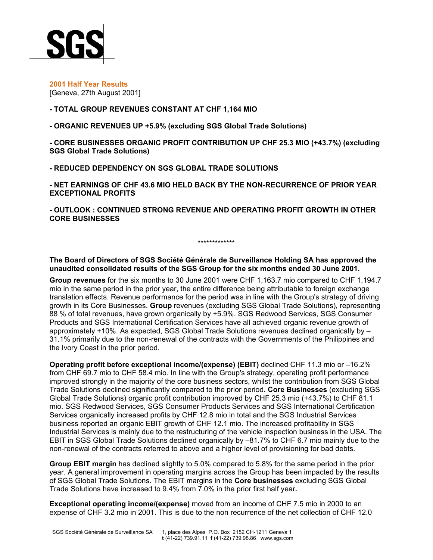

**2001 Half Year Results** [Geneva, 27th August 2001]

## **- TOTAL GROUP REVENUES CONSTANT AT CHF 1,164 MIO**

**- ORGANIC REVENUES UP +5.9% (excluding SGS Global Trade Solutions)**

**- CORE BUSINESSES ORGANIC PROFIT CONTRIBUTION UP CHF 25.3 MIO (+43.7%) (excluding SGS Global Trade Solutions)**

**- REDUCED DEPENDENCY ON SGS GLOBAL TRADE SOLUTIONS**

**- NET EARNINGS OF CHF 43.6 MIO HELD BACK BY THE NON-RECURRENCE OF PRIOR YEAR EXCEPTIONAL PROFITS**

**- OUTLOOK : CONTINUED STRONG REVENUE AND OPERATING PROFIT GROWTH IN OTHER CORE BUSINESSES**

**The Board of Directors of SGS Société Générale de Surveillance Holding SA has approved the unaudited consolidated results of the SGS Group for the six months ended 30 June 2001.** 

\*\*\*\*\*\*\*\*\*\*\*\*\*

**Group revenues** for the six months to 30 June 2001 were CHF 1,163.7 mio compared to CHF 1,194.7 mio in the same period in the prior year, the entire difference being attributable to foreign exchange translation effects. Revenue performance for the period was in line with the Group's strategy of driving growth in its Core Businesses. **Group** revenues (excluding SGS Global Trade Solutions), representing 88 % of total revenues, have grown organically by +5.9%. SGS Redwood Services, SGS Consumer Products and SGS International Certification Services have all achieved organic revenue growth of approximately +10%. As expected, SGS Global Trade Solutions revenues declined organically by – 31.1% primarily due to the non-renewal of the contracts with the Governments of the Philippines and the Ivory Coast in the prior period.

**Operating profit before exceptional income/(expense) (EBIT)** declined CHF 11.3 mio or –16.2% from CHF 69.7 mio to CHF 58.4 mio. In line with the Group's strategy, operating profit performance improved strongly in the majority of the core business sectors, whilst the contribution from SGS Global Trade Solutions declined significantly compared to the prior period. **Core Businesses** (excluding SGS Global Trade Solutions) organic profit contribution improved by CHF 25.3 mio (+43.7%) to CHF 81.1 mio. SGS Redwood Services, SGS Consumer Products Services and SGS International Certification Services organically increased profits by CHF 12.8 mio in total and the SGS Industrial Services business reported an organic EBIT growth of CHF 12.1 mio. The increased profitability in SGS Industrial Services is mainly due to the restructuring of the vehicle inspection business in the USA. The EBIT in SGS Global Trade Solutions declined organically by –81.7% to CHF 6.7 mio mainly due to the non-renewal of the contracts referred to above and a higher level of provisioning for bad debts.

**Group EBIT margin** has declined slightly to 5.0% compared to 5.8% for the same period in the prior year. A general improvement in operating margins across the Group has been impacted by the results of SGS Global Trade Solutions. The EBIT margins in the **Core businesses** excluding SGS Global Trade Solutions have increased to 9.4% from 7.0% in the prior first half year**.**

**Exceptional operating income/(expense)** moved from an income of CHF 7.5 mio in 2000 to an expense of CHF 3.2 mio in 2001. This is due to the non recurrence of the net collection of CHF 12.0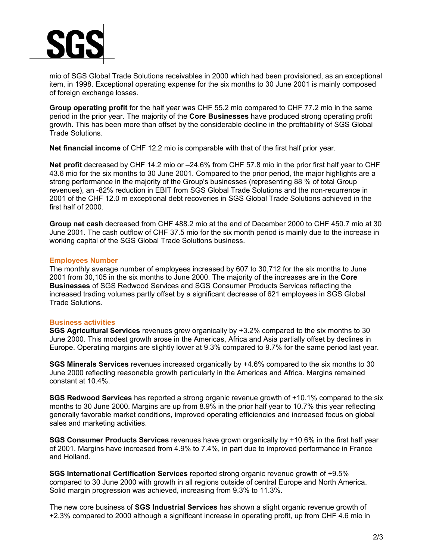

mio of SGS Global Trade Solutions receivables in 2000 which had been provisioned, as an exceptional item, in 1998. Exceptional operating expense for the six months to 30 June 2001 is mainly composed of foreign exchange losses.

**Group operating profit** for the half year was CHF 55.2 mio compared to CHF 77.2 mio in the same period in the prior year. The majority of the **Core Businesses** have produced strong operating profit growth. This has been more than offset by the considerable decline in the profitability of SGS Global Trade Solutions.

**Net financial income** of CHF 12.2 mio is comparable with that of the first half prior year.

**Net profit** decreased by CHF 14.2 mio or –24.6% from CHF 57.8 mio in the prior first half year to CHF 43.6 mio for the six months to 30 June 2001. Compared to the prior period, the major highlights are a strong performance in the majority of the Group's businesses (representing 88 % of total Group revenues), an -82% reduction in EBIT from SGS Global Trade Solutions and the non-recurrence in 2001 of the CHF 12.0 m exceptional debt recoveries in SGS Global Trade Solutions achieved in the first half of 2000.

**Group net cash** decreased from CHF 488.2 mio at the end of December 2000 to CHF 450.7 mio at 30 June 2001. The cash outflow of CHF 37.5 mio for the six month period is mainly due to the increase in working capital of the SGS Global Trade Solutions business.

## **Employees Number**

The monthly average number of employees increased by 607 to 30,712 for the six months to June 2001 from 30,105 in the six months to June 2000. The majority of the increases are in the **Core Businesses** of SGS Redwood Services and SGS Consumer Products Services reflecting the increased trading volumes partly offset by a significant decrease of 621 employees in SGS Global Trade Solutions.

## **Business activities**

**SGS Agricultural Services** revenues grew organically by +3.2% compared to the six months to 30 June 2000. This modest growth arose in the Americas, Africa and Asia partially offset by declines in Europe. Operating margins are slightly lower at 9.3% compared to 9.7% for the same period last year.

**SGS Minerals Services** revenues increased organically by +4.6% compared to the six months to 30 June 2000 reflecting reasonable growth particularly in the Americas and Africa. Margins remained constant at 10.4%.

**SGS Redwood Services** has reported a strong organic revenue growth of +10.1% compared to the six months to 30 June 2000. Margins are up from 8.9% in the prior half year to 10.7% this year reflecting generally favorable market conditions, improved operating efficiencies and increased focus on global sales and marketing activities.

**SGS Consumer Products Services** revenues have grown organically by +10.6% in the first half year of 2001. Margins have increased from 4.9% to 7.4%, in part due to improved performance in France and Holland.

**SGS International Certification Services** reported strong organic revenue growth of +9.5% compared to 30 June 2000 with growth in all regions outside of central Europe and North America. Solid margin progression was achieved, increasing from 9.3% to 11.3%.

The new core business of **SGS Industrial Services** has shown a slight organic revenue growth of +2.3% compared to 2000 although a significant increase in operating profit, up from CHF 4.6 mio in